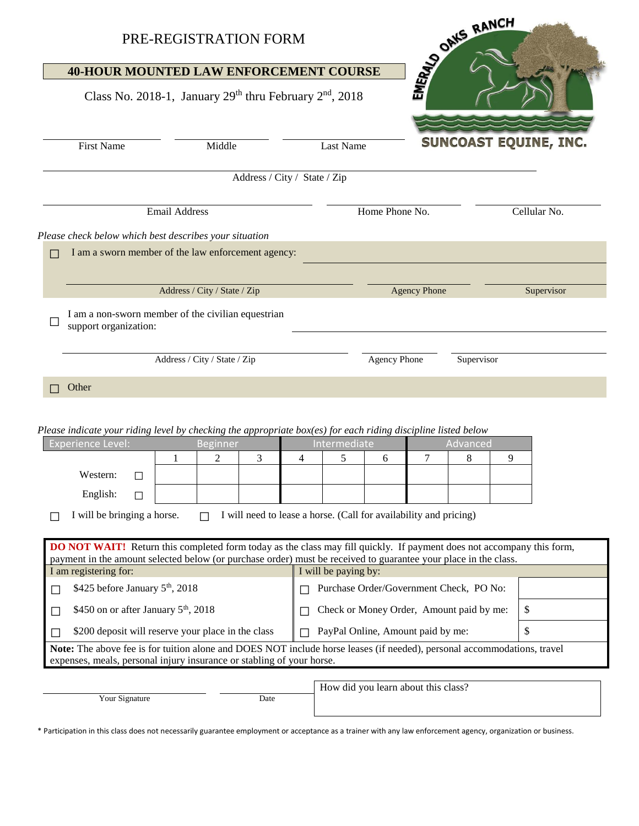| PRE-REGISTRATION FORM                                                                                                                                                                            |                                                                                                                                                                                                                                                 |                      | DRIVER BANCH                             |                              |  |  |
|--------------------------------------------------------------------------------------------------------------------------------------------------------------------------------------------------|-------------------------------------------------------------------------------------------------------------------------------------------------------------------------------------------------------------------------------------------------|----------------------|------------------------------------------|------------------------------|--|--|
|                                                                                                                                                                                                  | <b>40-HOUR MOUNTED LAW ENFORCEMENT COURSE</b>                                                                                                                                                                                                   |                      |                                          |                              |  |  |
|                                                                                                                                                                                                  | Class No. 2018-1, January $29th$ thru February $2nd$ , 2018                                                                                                                                                                                     |                      |                                          |                              |  |  |
| <b>First Name</b>                                                                                                                                                                                | Middle                                                                                                                                                                                                                                          | <b>Last Name</b>     |                                          | <b>SUNCOAST EQUINE, INC.</b> |  |  |
| Address / City / State / Zip                                                                                                                                                                     |                                                                                                                                                                                                                                                 |                      |                                          |                              |  |  |
| <b>Email Address</b>                                                                                                                                                                             |                                                                                                                                                                                                                                                 |                      | Home Phone No.<br>Cellular No.           |                              |  |  |
| Please check below which best describes your situation                                                                                                                                           |                                                                                                                                                                                                                                                 |                      |                                          |                              |  |  |
| $\Box$                                                                                                                                                                                           | I am a sworn member of the law enforcement agency:                                                                                                                                                                                              |                      |                                          |                              |  |  |
|                                                                                                                                                                                                  |                                                                                                                                                                                                                                                 |                      |                                          |                              |  |  |
|                                                                                                                                                                                                  | Address / City / State / Zip                                                                                                                                                                                                                    |                      | <b>Agency Phone</b>                      | Supervisor                   |  |  |
| support organization:                                                                                                                                                                            | I am a non-sworn member of the civilian equestrian                                                                                                                                                                                              |                      |                                          |                              |  |  |
|                                                                                                                                                                                                  | Address / City / State / Zip                                                                                                                                                                                                                    |                      | <b>Agency Phone</b>                      | Supervisor                   |  |  |
| Other                                                                                                                                                                                            |                                                                                                                                                                                                                                                 |                      |                                          |                              |  |  |
| Please indicate your riding level by checking the appropriate box(es) for each riding discipline listed below<br><b>Experience Level:</b>                                                        | <b>Beginner</b>                                                                                                                                                                                                                                 | Intermediate         | Advanced                                 |                              |  |  |
|                                                                                                                                                                                                  | 3<br>2<br>1                                                                                                                                                                                                                                     | 5<br>4               | 7<br>6<br>8                              | 9                            |  |  |
| Western:<br>П                                                                                                                                                                                    |                                                                                                                                                                                                                                                 |                      |                                          |                              |  |  |
| English:                                                                                                                                                                                         |                                                                                                                                                                                                                                                 |                      |                                          |                              |  |  |
| I will be bringing a horse.<br>I will need to lease a horse. (Call for availability and pricing)                                                                                                 |                                                                                                                                                                                                                                                 |                      |                                          |                              |  |  |
|                                                                                                                                                                                                  | <b>DO NOT WAIT!</b> Return this completed form today as the class may fill quickly. If payment does not accompany this form,<br>payment in the amount selected below (or purchase order) must be received to guarantee your place in the class. |                      |                                          |                              |  |  |
| I am registering for:                                                                                                                                                                            |                                                                                                                                                                                                                                                 | I will be paying by: |                                          |                              |  |  |
| \$425 before January 5 <sup>th</sup> , 2018<br>$\Box$                                                                                                                                            |                                                                                                                                                                                                                                                 |                      | Purchase Order/Government Check, PO No:  |                              |  |  |
| \$450 on or after January 5 <sup>th</sup> , 2018<br>$\Box$                                                                                                                                       |                                                                                                                                                                                                                                                 |                      | Check or Money Order, Amount paid by me: | \$                           |  |  |
| \$200 deposit will reserve your place in the class<br>$\vert \ \ \vert$                                                                                                                          |                                                                                                                                                                                                                                                 |                      | PayPal Online, Amount paid by me:        | \$                           |  |  |
| Note: The above fee is for tuition alone and DOES NOT include horse leases (if needed), personal accommodations, travel<br>expenses, meals, personal injury insurance or stabling of your horse. |                                                                                                                                                                                                                                                 |                      |                                          |                              |  |  |
| Your Signature                                                                                                                                                                                   | Date                                                                                                                                                                                                                                            |                      | How did you learn about this class?      |                              |  |  |
|                                                                                                                                                                                                  |                                                                                                                                                                                                                                                 |                      |                                          |                              |  |  |

\* Participation in this class does not necessarily guarantee employment or acceptance as a trainer with any law enforcement agency, organization or business.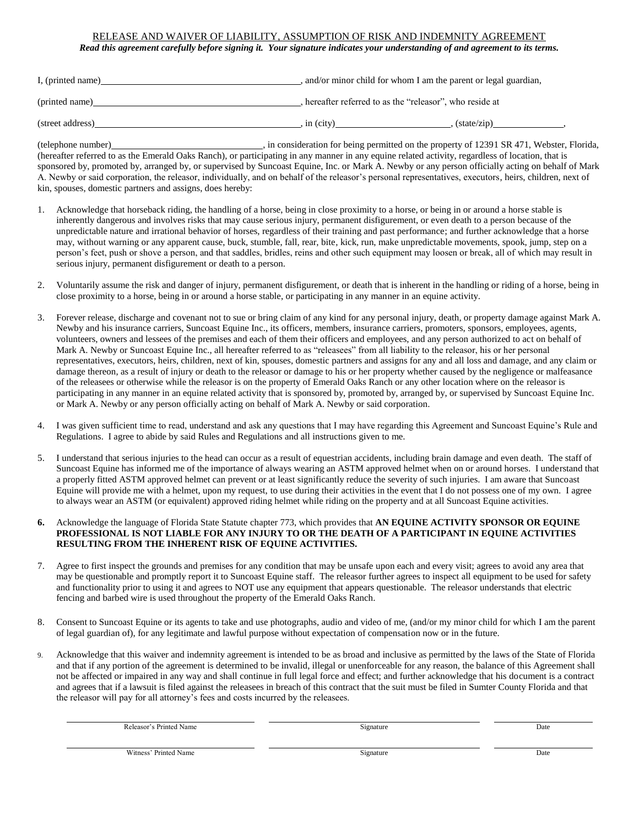## RELEASE AND WAIVER OF LIABILITY, ASSUMPTION OF RISK AND INDEMNITY AGREEMENT

*Read this agreement carefully before signing it. Your signature indicates your understanding of and agreement to its terms.*

| I, (printed name) | and/or minor child for whom I am the parent or legal guardian, |                             |  |
|-------------------|----------------------------------------------------------------|-----------------------------|--|
| (printed name)    | , hereafter referred to as the "releasor", who reside at       |                             |  |
| (street address)  | in (city)                                                      | $(\text{state}/\text{zip})$ |  |

(telephone number) (telephone number) and the property of 12391 SR 471, Webster, Florida, (hereafter referred to as the Emerald Oaks Ranch), or participating in any manner in any equine related activity, regardless of location, that is sponsored by, promoted by, arranged by, or supervised by Suncoast Equine, Inc. or Mark A. Newby or any person officially acting on behalf of Mark A. Newby or said corporation, the releasor, individually, and on behalf of the releasor's personal representatives, executors, heirs, children, next of kin, spouses, domestic partners and assigns, does hereby:

- 1. Acknowledge that horseback riding, the handling of a horse, being in close proximity to a horse, or being in or around a horse stable is inherently dangerous and involves risks that may cause serious injury, permanent disfigurement, or even death to a person because of the unpredictable nature and irrational behavior of horses, regardless of their training and past performance; and further acknowledge that a horse may, without warning or any apparent cause, buck, stumble, fall, rear, bite, kick, run, make unpredictable movements, spook, jump, step on a person's feet, push or shove a person, and that saddles, bridles, reins and other such equipment may loosen or break, all of which may result in serious injury, permanent disfigurement or death to a person.
- 2. Voluntarily assume the risk and danger of injury, permanent disfigurement, or death that is inherent in the handling or riding of a horse, being in close proximity to a horse, being in or around a horse stable, or participating in any manner in an equine activity.
- 3. Forever release, discharge and covenant not to sue or bring claim of any kind for any personal injury, death, or property damage against Mark A. Newby and his insurance carriers, Suncoast Equine Inc., its officers, members, insurance carriers, promoters, sponsors, employees, agents, volunteers, owners and lessees of the premises and each of them their officers and employees, and any person authorized to act on behalf of Mark A. Newby or Suncoast Equine Inc., all hereafter referred to as "releasees" from all liability to the releasor, his or her personal representatives, executors, heirs, children, next of kin, spouses, domestic partners and assigns for any and all loss and damage, and any claim or damage thereon, as a result of injury or death to the releasor or damage to his or her property whether caused by the negligence or malfeasance of the releasees or otherwise while the releasor is on the property of Emerald Oaks Ranch or any other location where on the releasor is participating in any manner in an equine related activity that is sponsored by, promoted by, arranged by, or supervised by Suncoast Equine Inc. or Mark A. Newby or any person officially acting on behalf of Mark A. Newby or said corporation.
- 4. I was given sufficient time to read, understand and ask any questions that I may have regarding this Agreement and Suncoast Equine's Rule and Regulations. I agree to abide by said Rules and Regulations and all instructions given to me.
- 5. I understand that serious injuries to the head can occur as a result of equestrian accidents, including brain damage and even death. The staff of Suncoast Equine has informed me of the importance of always wearing an ASTM approved helmet when on or around horses. I understand that a properly fitted ASTM approved helmet can prevent or at least significantly reduce the severity of such injuries. I am aware that Suncoast Equine will provide me with a helmet, upon my request, to use during their activities in the event that I do not possess one of my own. I agree to always wear an ASTM (or equivalent) approved riding helmet while riding on the property and at all Suncoast Equine activities.
- **6.** Acknowledge the language of Florida State Statute chapter 773, which provides that **AN EQUINE ACTIVITY SPONSOR OR EQUINE PROFESSIONAL IS NOT LIABLE FOR ANY INJURY TO OR THE DEATH OF A PARTICIPANT IN EQUINE ACTIVITIES RESULTING FROM THE INHERENT RISK OF EQUINE ACTIVITIES.**
- 7. Agree to first inspect the grounds and premises for any condition that may be unsafe upon each and every visit; agrees to avoid any area that may be questionable and promptly report it to Suncoast Equine staff. The releasor further agrees to inspect all equipment to be used for safety and functionality prior to using it and agrees to NOT use any equipment that appears questionable. The releasor understands that electric fencing and barbed wire is used throughout the property of the Emerald Oaks Ranch.
- 8. Consent to Suncoast Equine or its agents to take and use photographs, audio and video of me, (and/or my minor child for which I am the parent of legal guardian of), for any legitimate and lawful purpose without expectation of compensation now or in the future.
- 9. Acknowledge that this waiver and indemnity agreement is intended to be as broad and inclusive as permitted by the laws of the State of Florida and that if any portion of the agreement is determined to be invalid, illegal or unenforceable for any reason, the balance of this Agreement shall not be affected or impaired in any way and shall continue in full legal force and effect; and further acknowledge that his document is a contract and agrees that if a lawsuit is filed against the releasees in breach of this contract that the suit must be filed in Sumter County Florida and that the releasor will pay for all attorney's fees and costs incurred by the releasees.

| √ame<br>.<br>いもへ | signature<br>$\circ$ | Date |
|------------------|----------------------|------|
|                  |                      |      |
|                  |                      |      |

Witness' Printed Name Date **Date Community** Community Community Community Community Community Community Community Community Community Community Community Community Community Community Community Community Community Communit